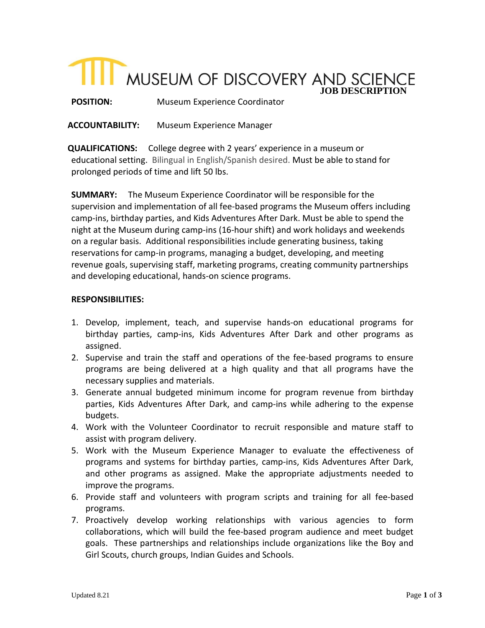# **THE MUSEUM OF DISCOVERY AND SCIENCE**

**POSITION:** Museum Experience Coordinator

**ACCOUNTABILITY:** Museum Experience Manager

**QUALIFICATIONS:** College degree with 2 years' experience in a museum or educational setting. Bilingual in English/Spanish desired. Must be able to stand for prolonged periods of time and lift 50 lbs.

**SUMMARY:** The Museum Experience Coordinator will be responsible for the supervision and implementation of all fee-based programs the Museum offers including camp-ins, birthday parties, and Kids Adventures After Dark. Must be able to spend the night at the Museum during camp-ins (16-hour shift) and work holidays and weekends on a regular basis. Additional responsibilities include generating business, taking reservations for camp-in programs, managing a budget, developing, and meeting revenue goals, supervising staff, marketing programs, creating community partnerships and developing educational, hands-on science programs.

## **RESPONSIBILITIES:**

- 1. Develop, implement, teach, and supervise hands-on educational programs for birthday parties, camp-ins, Kids Adventures After Dark and other programs as assigned.
- 2. Supervise and train the staff and operations of the fee-based programs to ensure programs are being delivered at a high quality and that all programs have the necessary supplies and materials.
- 3. Generate annual budgeted minimum income for program revenue from birthday parties, Kids Adventures After Dark, and camp-ins while adhering to the expense budgets.
- 4. Work with the Volunteer Coordinator to recruit responsible and mature staff to assist with program delivery.
- 5. Work with the Museum Experience Manager to evaluate the effectiveness of programs and systems for birthday parties, camp-ins, Kids Adventures After Dark, and other programs as assigned. Make the appropriate adjustments needed to improve the programs.
- 6. Provide staff and volunteers with program scripts and training for all fee-based programs.
- 7. Proactively develop working relationships with various agencies to form collaborations, which will build the fee-based program audience and meet budget goals. These partnerships and relationships include organizations like the Boy and Girl Scouts, church groups, Indian Guides and Schools.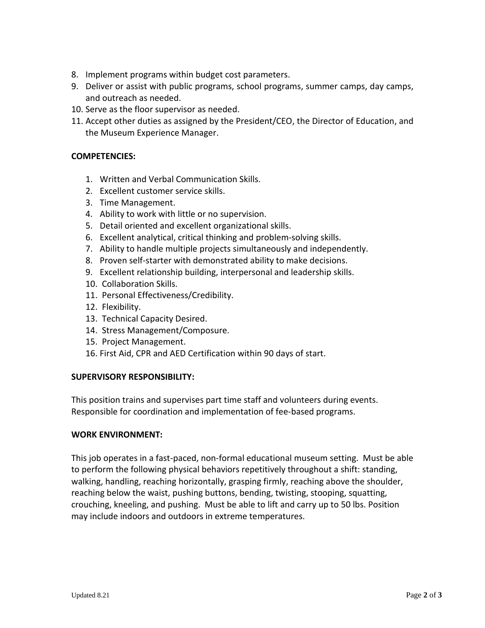- 8. Implement programs within budget cost parameters.
- 9. Deliver or assist with public programs, school programs, summer camps, day camps, and outreach as needed.
- 10. Serve as the floor supervisor as needed.
- 11. Accept other duties as assigned by the President/CEO, the Director of Education, and the Museum Experience Manager.

# **COMPETENCIES:**

- 1. Written and Verbal Communication Skills.
- 2. Excellent customer service skills.
- 3. Time Management.
- 4. Ability to work with little or no supervision.
- 5. Detail oriented and excellent organizational skills.
- 6. Excellent analytical, critical thinking and problem-solving skills.
- 7. Ability to handle multiple projects simultaneously and independently.
- 8. Proven self-starter with demonstrated ability to make decisions.
- 9. Excellent relationship building, interpersonal and leadership skills.
- 10. Collaboration Skills.
- 11. Personal Effectiveness/Credibility.
- 12. Flexibility.
- 13. Technical Capacity Desired.
- 14. Stress Management/Composure.
- 15. Project Management.
- 16. First Aid, CPR and AED Certification within 90 days of start.

## **SUPERVISORY RESPONSIBILITY:**

This position trains and supervises part time staff and volunteers during events. Responsible for coordination and implementation of fee-based programs.

## **WORK ENVIRONMENT:**

This job operates in a fast-paced, non-formal educational museum setting. Must be able to perform the following physical behaviors repetitively throughout a shift: standing, walking, handling, reaching horizontally, grasping firmly, reaching above the shoulder, reaching below the waist, pushing buttons, bending, twisting, stooping, squatting, crouching, kneeling, and pushing. Must be able to lift and carry up to 50 lbs. Position may include indoors and outdoors in extreme temperatures.